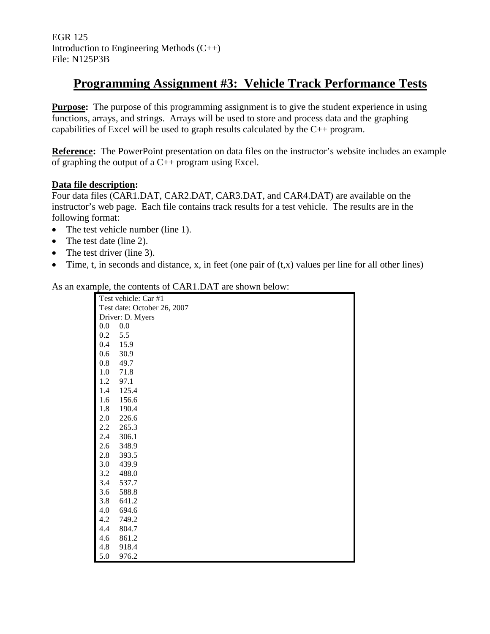EGR 125 Introduction to Engineering Methods (C++) File: N125P3B

# **Programming Assignment #3: Vehicle Track Performance Tests**

**Purpose:** The purpose of this programming assignment is to give the student experience in using functions, arrays, and strings. Arrays will be used to store and process data and the graphing capabilities of Excel will be used to graph results calculated by the C++ program.

**Reference:** The PowerPoint presentation on data files on the instructor's website includes an example of graphing the output of a  $C_{++}$  program using Excel.

### **Data file description:**

Four data files (CAR1.DAT, CAR2.DAT, CAR3.DAT, and CAR4.DAT) are available on the instructor's web page. Each file contains track results for a test vehicle. The results are in the following format:

- The test vehicle number (line 1).
- The test date (line 2).
- The test driver (line 3).
- Time, t, in seconds and distance, x, in feet (one pair of  $(t,x)$  values per line for all other lines)

As an example, the contents of CAR1.DAT are shown below:

|         | Test vehicle: Car #1        |  |  |  |  |
|---------|-----------------------------|--|--|--|--|
|         | Test date: October 26, 2007 |  |  |  |  |
|         | Driver: D. Myers            |  |  |  |  |
| 0.0     | 0.0                         |  |  |  |  |
| 0.2     | 5.5                         |  |  |  |  |
| 0.4     | 15.9                        |  |  |  |  |
| 0.6     | 30.9                        |  |  |  |  |
| 0.8     | 49.7                        |  |  |  |  |
| 1.0     | 71.8                        |  |  |  |  |
| 1.2     | 97.1                        |  |  |  |  |
| 1.4     | 125.4                       |  |  |  |  |
| 1.6     | 156.6                       |  |  |  |  |
| 1.8     | 190.4                       |  |  |  |  |
| 2.0     | 226.6                       |  |  |  |  |
| 2.2     | 265.3                       |  |  |  |  |
| 2.4     | 306.1                       |  |  |  |  |
| $2.6\,$ | 348.9                       |  |  |  |  |
| 2.8     | 393.5                       |  |  |  |  |
| 3.0     | 439.9                       |  |  |  |  |
| 3.2     | 488.0                       |  |  |  |  |
| 3.4     | 537.7                       |  |  |  |  |
| 3.6     | 588.8                       |  |  |  |  |
| 3.8     | 641.2                       |  |  |  |  |
| 4.0     | 694.6                       |  |  |  |  |
| 4.2     | 749.2                       |  |  |  |  |
| 4.4     | 804.7                       |  |  |  |  |
| 4.6     | 861.2                       |  |  |  |  |
| 4.8     | 918.4                       |  |  |  |  |
| 5.0     | 976.2                       |  |  |  |  |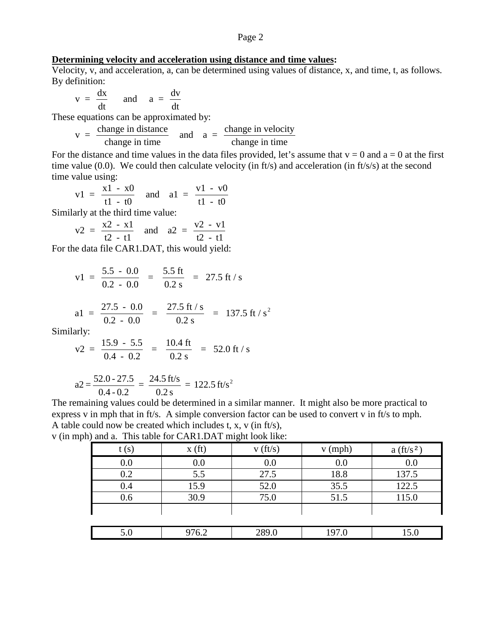#### Page 2

#### **Determining velocity and acceleration using distance and time values:**

Velocity, v, and acceleration, a, can be determined using values of distance, x, and time, t, as follows. By definition:

$$
v = \frac{dx}{dt} \quad \text{and} \quad a = \frac{dv}{dt}
$$

These equations can be approximated by:

$$
v =
$$
 change in distance  
change in time  
change in time  
 $h$  and  $a =$  change in velocity  
change in time

For the distance and time values in the data files provided, let's assume that  $v = 0$  and  $a = 0$  at the first time value (0.0). We could then calculate velocity (in ft/s) and acceleration (in ft/s/s) at the second time value using:

$$
v1 = \frac{x1 - x0}{t1 - t0}
$$
 and  $a1 = \frac{v1 - v0}{t1 - t0}$ 

Similarly at the third time value:

$$
v2 = \frac{x2 - x1}{t2 - t1}
$$
 and  $a2 = \frac{v2 - v1}{t2 - t1}$ 

For the data file CAR1.DAT, this would yield:

$$
v1 = \frac{5.5 - 0.0}{0.2 - 0.0} = \frac{5.5 \text{ ft}}{0.2 \text{ s}} = 27.5 \text{ ft/s}
$$

$$
a1 = \frac{27.5 - 0.0}{0.2 - 0.0} = \frac{27.5 \text{ ft/s}}{0.2 \text{ s}} = 137.5 \text{ ft/s}^2
$$

Similarly:

$$
v2 = \frac{15.9 - 5.5}{0.4 - 0.2} = \frac{10.4 \text{ ft}}{0.2 \text{ s}} = 52.0 \text{ ft/s}
$$

$$
a2 = \frac{52.0 - 27.5}{0.4 - 0.2} = \frac{24.5 \text{ ft/s}}{0.2 \text{ s}} = 122.5 \text{ ft/s}^2
$$

The remaining values could be determined in a similar manner. It might also be more practical to express v in mph that in ft/s. A simple conversion factor can be used to convert v in ft/s to mph. A table could now be created which includes t, x, v (in ft/s),

v (in mph) and a. This table for CAR1.DAT might look like:

|      |                    | ັ       |           |             |
|------|--------------------|---------|-----------|-------------|
| t(s) | x(f <sub>t</sub> ) | v(ft/s) | $v$ (mph) | $a(ft/s^2)$ |
| 0.0  | 0.0                | 0.0     | 0.0       | 0.0         |
| 0.2  | 5.5                | 27.5    | 18.8      | 137.5       |
| 0.4  | 15.9               | 52.0    | 35.5      | 122.5       |
| 0.6  | 30.9               | 75.0    | 51.5      | 115.0       |
|      |                    |         |           |             |
|      |                    |         |           |             |
| 5.0  | 976.2              | 289.0   | 197.0     | 15.0        |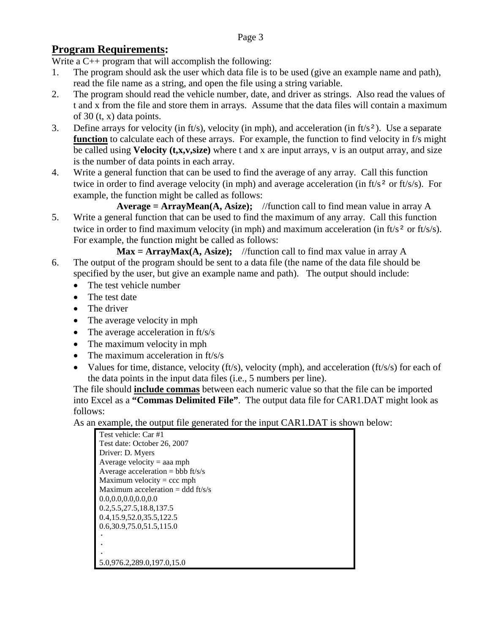## **Program Requirements:**

Write a C<sub>++</sub> program that will accomplish the following:

- 1. The program should ask the user which data file is to be used (give an example name and path), read the file name as a string, and open the file using a string variable.
- 2. The program should read the vehicle number, date, and driver as strings. Also read the values of t and x from the file and store them in arrays. Assume that the data files will contain a maximum of 30 (t, x) data points.
- 3. Define arrays for velocity (in ft/s), velocity (in mph), and acceleration (in ft/s²). Use a separate **function** to calculate each of these arrays. For example, the function to find velocity in f/s might be called using **Velocity (t,x,v,size)** where t and x are input arrays, v is an output array, and size is the number of data points in each array.
- 4. Write a general function that can be used to find the average of any array. Call this function twice in order to find average velocity (in mph) and average acceleration (in  $f(s^2)$  or  $f(t/s/s)$ ). For example, the function might be called as follows:
- **Average = ArrayMean(A, Asize);** //function call to find mean value in array A 5. Write a general function that can be used to find the maximum of any array. Call this function twice in order to find maximum velocity (in mph) and maximum acceleration (in ft/s<sup>2</sup> or ft/s/s). For example, the function might be called as follows:

 $Max = ArrayMax(A, Asize);$  //function call to find max value in array A 6. The output of the program should be sent to a data file (the name of the data file should be specified by the user, but give an example name and path). The output should include:

- The test vehicle number
- The test date
- The driver
- The average velocity in mph
- The average acceleration in ft/s/s
- The maximum velocity in mph
- The maximum acceleration in ft/s/s
- Values for time, distance, velocity (ft/s), velocity (mph), and acceleration (ft/s/s) for each of the data points in the input data files (i.e., 5 numbers per line).

The file should **include commas** between each numeric value so that the file can be imported into Excel as a **"Commas Delimited File"**. The output data file for CAR1.DAT might look as follows:

As an example, the output file generated for the input CAR1.DAT is shown below:

| Test vehicle: Car #1                |
|-------------------------------------|
| Test date: October 26, 2007         |
| Driver: D. Myers                    |
| Average velocity $=$ aaa mph        |
| Average acceleration = bbb $ft/s/s$ |
| Maximum velocity = $ccc$ mph        |
| Maximum acceleration = ddd $ft/s/s$ |
| 0.0.0.0.0.0.0.0.0.0                 |
| 0.2, 5, 27. 5, 18. 8, 137. 5        |
| 0.4, 15.9, 52.0, 35.5, 122.5        |
| 0.6,30.9,75.0,51.5,115.0            |
|                                     |
|                                     |
|                                     |
| 5.0,976.2,289.0,197.0,15.0          |